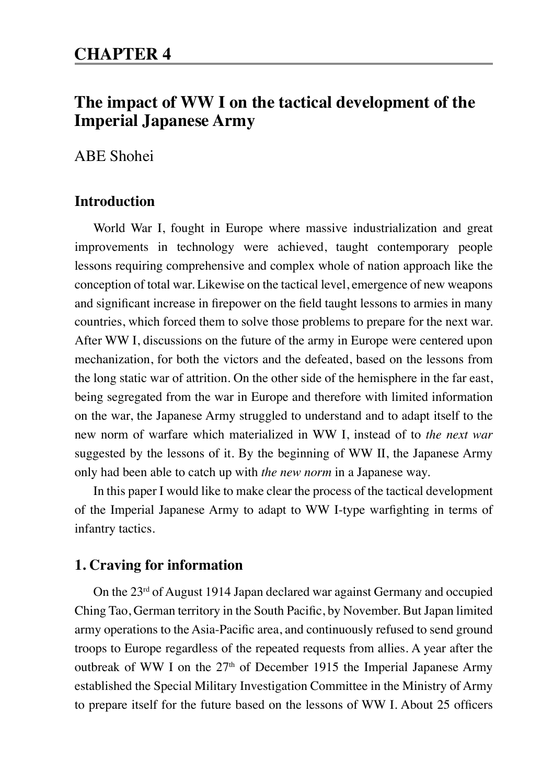# **The impact of WW I on the tactical development of the Imperial Japanese Army**

ABE Shohei

## **Introduction**

World War I, fought in Europe where massive industrialization and great improvements in technology were achieved, taught contemporary people lessons requiring comprehensive and complex whole of nation approach like the conception of total war. Likewise on the tactical level, emergence of new weapons and significant increase in firepower on the field taught lessons to armies in many countries, which forced them to solve those problems to prepare for the next war. After WW I, discussions on the future of the army in Europe were centered upon mechanization, for both the victors and the defeated, based on the lessons from the long static war of attrition. On the other side of the hemisphere in the far east, being segregated from the war in Europe and therefore with limited information on the war, the Japanese Army struggled to understand and to adapt itself to the new norm of warfare which materialized in WW I, instead of to *the next war* suggested by the lessons of it. By the beginning of WW II, the Japanese Army only had been able to catch up with *the new norm* in a Japanese way.

In this paper I would like to make clear the process of the tactical development of the Imperial Japanese Army to adapt to WW I-type warfighting in terms of infantry tactics.

## **1. Craving for information**

On the 23rd of August 1914 Japan declared war against Germany and occupied Ching Tao, German territory in the South Pacific, by November. But Japan limited army operations to the Asia-Pacific area, and continuously refused to send ground troops to Europe regardless of the repeated requests from allies. A year after the outbreak of WW I on the  $27<sup>th</sup>$  of December 1915 the Imperial Japanese Army established the Special Military Investigation Committee in the Ministry of Army to prepare itself for the future based on the lessons of WW I. About 25 officers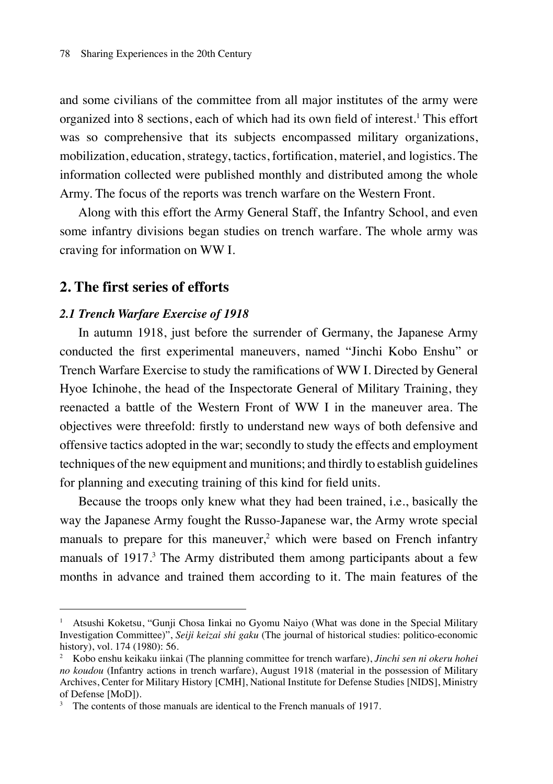and some civilians of the committee from all major institutes of the army were organized into 8 sections, each of which had its own field of interest.<sup>1</sup> This effort was so comprehensive that its subjects encompassed military organizations, mobilization, education, strategy, tactics, fortification, materiel, and logistics. The information collected were published monthly and distributed among the whole Army. The focus of the reports was trench warfare on the Western Front.

Along with this effort the Army General Staff, the Infantry School, and even some infantry divisions began studies on trench warfare. The whole army was craving for information on WW I.

## **2. The first series of efforts**

## *2.1 Trench Warfare Exercise of 1918*

In autumn 1918, just before the surrender of Germany, the Japanese Army conducted the first experimental maneuvers, named "Jinchi Kobo Enshu" or Trench Warfare Exercise to study the ramifications of WW I. Directed by General Hyoe Ichinohe, the head of the Inspectorate General of Military Training, they reenacted a battle of the Western Front of WW I in the maneuver area. The objectives were threefold: firstly to understand new ways of both defensive and offensive tactics adopted in the war; secondly to study the effects and employment techniques of the new equipment and munitions; and thirdly to establish guidelines for planning and executing training of this kind for field units.

Because the troops only knew what they had been trained, i.e., basically the way the Japanese Army fought the Russo-Japanese war, the Army wrote special manuals to prepare for this maneuver,<sup>2</sup> which were based on French infantry manuals of 1917.<sup>3</sup> The Army distributed them among participants about a few months in advance and trained them according to it. The main features of the

<sup>&</sup>lt;sup>1</sup> Atsushi Koketsu, "Gunii Chosa Iinkai no Gyomu Naiyo (What was done in the Special Military Investigation Committee)", *Seiji keizai shi gaku* (The journal of historical studies: politico-economic history), vol. 174 (1980): 56.

<sup>2</sup> Kobo enshu keikaku iinkai (The planning committee for trench warfare), *Jinchi sen ni okeru hohei no koudou* (Infantry actions in trench warfare), August 1918 (material in the possession of Military Archives, Center for Military History [CMH], National Institute for Defense Studies [NIDS], Ministry of Defense [MoD]).

<sup>3</sup> The contents of those manuals are identical to the French manuals of 1917.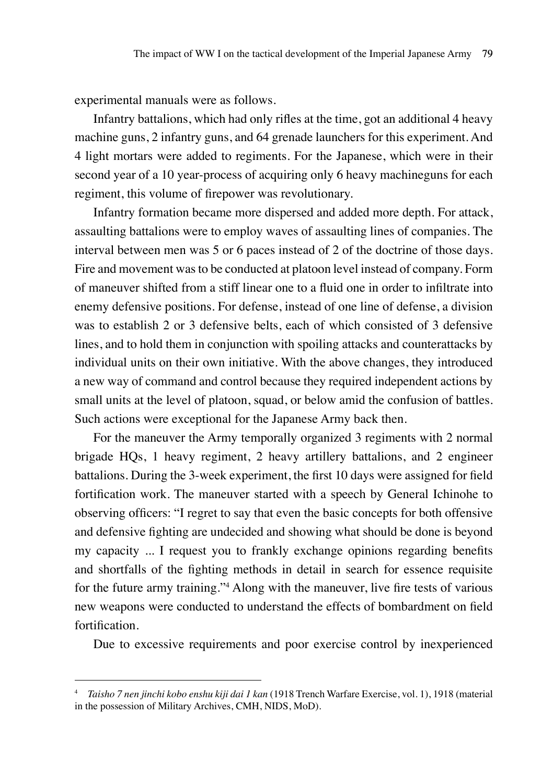experimental manuals were as follows.

Infantry battalions, which had only rifles at the time, got an additional 4 heavy machine guns, 2 infantry guns, and 64 grenade launchers for this experiment. And 4 light mortars were added to regiments. For the Japanese, which were in their second year of a 10 year-process of acquiring only 6 heavy machineguns for each regiment, this volume of firepower was revolutionary.

Infantry formation became more dispersed and added more depth. For attack, assaulting battalions were to employ waves of assaulting lines of companies. The interval between men was 5 or 6 paces instead of 2 of the doctrine of those days. Fire and movement was to be conducted at platoon level instead of company. Form of maneuver shifted from a stiff linear one to a fluid one in order to infiltrate into enemy defensive positions. For defense, instead of one line of defense, a division was to establish 2 or 3 defensive belts, each of which consisted of 3 defensive lines, and to hold them in conjunction with spoiling attacks and counterattacks by individual units on their own initiative. With the above changes, they introduced a new way of command and control because they required independent actions by small units at the level of platoon, squad, or below amid the confusion of battles. Such actions were exceptional for the Japanese Army back then.

For the maneuver the Army temporally organized 3 regiments with 2 normal brigade HQs, 1 heavy regiment, 2 heavy artillery battalions, and 2 engineer battalions. During the 3-week experiment, the first 10 days were assigned for field fortification work. The maneuver started with a speech by General Ichinohe to observing officers: "I regret to say that even the basic concepts for both offensive and defensive fighting are undecided and showing what should be done is beyond my capacity ... I request you to frankly exchange opinions regarding benefits and shortfalls of the fighting methods in detail in search for essence requisite for the future army training."<sup>4</sup> Along with the maneuver, live fire tests of various new weapons were conducted to understand the effects of bombardment on field fortification.

Due to excessive requirements and poor exercise control by inexperienced

<sup>4</sup> *Taisho 7 nen jinchi kobo enshu kiji dai 1 kan* (1918 Trench Warfare Exercise, vol. 1), 1918 (material in the possession of Military Archives, CMH, NIDS, MoD).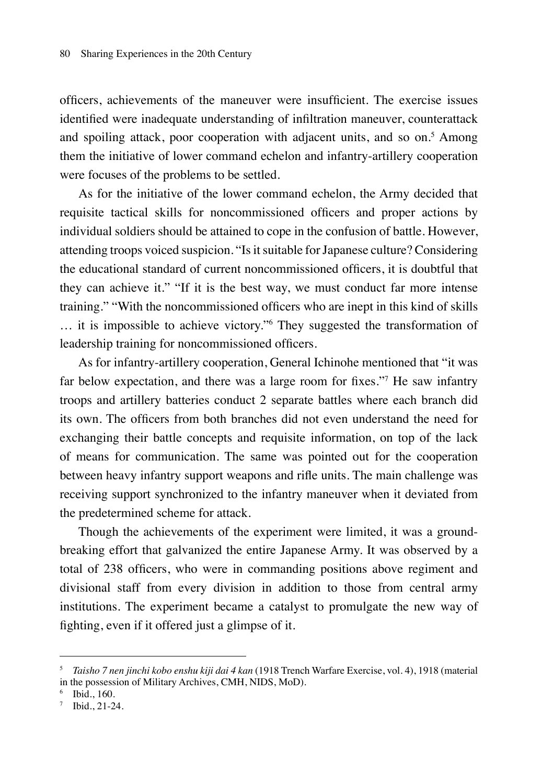officers, achievements of the maneuver were insufficient. The exercise issues identified were inadequate understanding of infiltration maneuver, counterattack and spoiling attack, poor cooperation with adjacent units, and so on.<sup>5</sup> Among them the initiative of lower command echelon and infantry-artillery cooperation were focuses of the problems to be settled.

As for the initiative of the lower command echelon, the Army decided that requisite tactical skills for noncommissioned officers and proper actions by individual soldiers should be attained to cope in the confusion of battle. However, attending troops voiced suspicion. "Is it suitable for Japanese culture? Considering the educational standard of current noncommissioned officers, it is doubtful that they can achieve it." "If it is the best way, we must conduct far more intense training." "With the noncommissioned officers who are inept in this kind of skills … it is impossible to achieve victory."6 They suggested the transformation of leadership training for noncommissioned officers.

As for infantry-artillery cooperation, General Ichinohe mentioned that "it was far below expectation, and there was a large room for fixes."<sup>7</sup> He saw infantry troops and artillery batteries conduct 2 separate battles where each branch did its own. The officers from both branches did not even understand the need for exchanging their battle concepts and requisite information, on top of the lack of means for communication. The same was pointed out for the cooperation between heavy infantry support weapons and rifle units. The main challenge was receiving support synchronized to the infantry maneuver when it deviated from the predetermined scheme for attack.

Though the achievements of the experiment were limited, it was a groundbreaking effort that galvanized the entire Japanese Army. It was observed by a total of 238 officers, who were in commanding positions above regiment and divisional staff from every division in addition to those from central army institutions. The experiment became a catalyst to promulgate the new way of fighting, even if it offered just a glimpse of it.

<sup>5</sup> *Taisho 7 nen jinchi kobo enshu kiji dai 4 kan* (1918 Trench Warfare Exercise, vol. 4), 1918 (material in the possession of Military Archives, CMH, NIDS, MoD).

<sup>6</sup> Ibid., 160.

<sup>7</sup> Ibid., 21-24.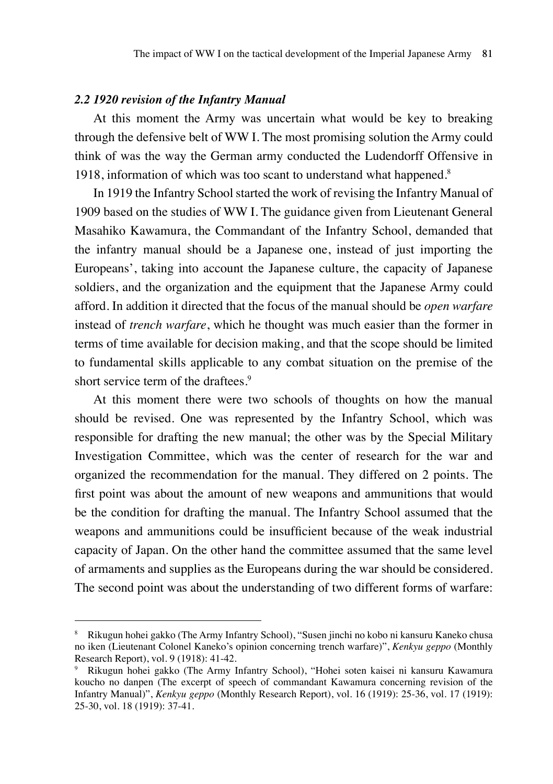### *2.2 1920 revision of the Infantry Manual*

At this moment the Army was uncertain what would be key to breaking through the defensive belt of WW I. The most promising solution the Army could think of was the way the German army conducted the Ludendorff Offensive in 1918, information of which was too scant to understand what happened.<sup>8</sup>

In 1919 the Infantry School started the work of revising the Infantry Manual of 1909 based on the studies of WW I. The guidance given from Lieutenant General Masahiko Kawamura, the Commandant of the Infantry School, demanded that the infantry manual should be a Japanese one, instead of just importing the Europeans', taking into account the Japanese culture, the capacity of Japanese soldiers, and the organization and the equipment that the Japanese Army could afford. In addition it directed that the focus of the manual should be *open warfare* instead of *trench warfare*, which he thought was much easier than the former in terms of time available for decision making, and that the scope should be limited to fundamental skills applicable to any combat situation on the premise of the short service term of the draftees.<sup>9</sup>

At this moment there were two schools of thoughts on how the manual should be revised. One was represented by the Infantry School, which was responsible for drafting the new manual; the other was by the Special Military Investigation Committee, which was the center of research for the war and organized the recommendation for the manual. They differed on 2 points. The first point was about the amount of new weapons and ammunitions that would be the condition for drafting the manual. The Infantry School assumed that the weapons and ammunitions could be insufficient because of the weak industrial capacity of Japan. On the other hand the committee assumed that the same level of armaments and supplies as the Europeans during the war should be considered. The second point was about the understanding of two different forms of warfare:

<sup>8</sup> Rikugun hohei gakko (The Army Infantry School), "Susen jinchi no kobo ni kansuru Kaneko chusa no iken (Lieutenant Colonel Kaneko's opinion concerning trench warfare)", *Kenkyu geppo* (Monthly Research Report), vol. 9 (1918): 41-42.

<sup>9</sup> Rikugun hohei gakko (The Army Infantry School), "Hohei soten kaisei ni kansuru Kawamura koucho no danpen (The excerpt of speech of commandant Kawamura concerning revision of the Infantry Manual)", *Kenkyu geppo* (Monthly Research Report), vol. 16 (1919): 25-36, vol. 17 (1919): 25-30, vol. 18 (1919): 37-41.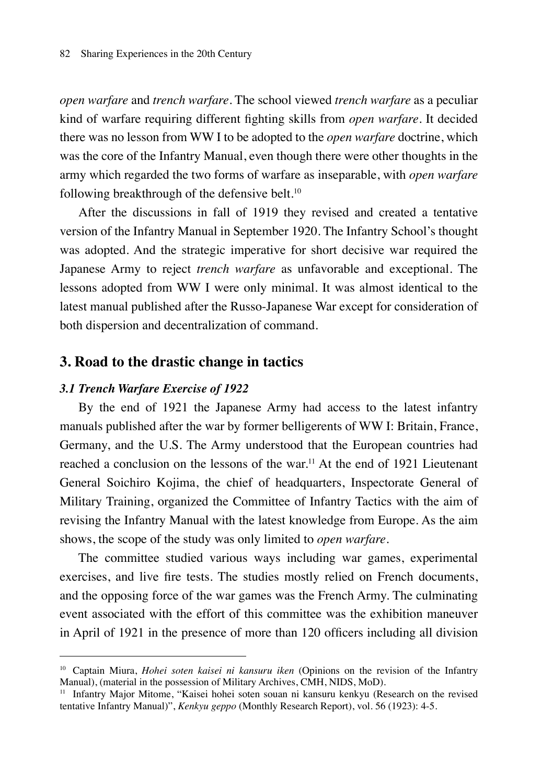*open warfare* and *trench warfare*. The school viewed *trench warfare* as a peculiar kind of warfare requiring different fighting skills from *open warfare*. It decided there was no lesson from WW I to be adopted to the *open warfare* doctrine, which was the core of the Infantry Manual, even though there were other thoughts in the army which regarded the two forms of warfare as inseparable, with *open warfare* following breakthrough of the defensive belt.<sup>10</sup>

After the discussions in fall of 1919 they revised and created a tentative version of the Infantry Manual in September 1920. The Infantry School's thought was adopted. And the strategic imperative for short decisive war required the Japanese Army to reject *trench warfare* as unfavorable and exceptional. The lessons adopted from WW I were only minimal. It was almost identical to the latest manual published after the Russo-Japanese War except for consideration of both dispersion and decentralization of command.

## **3. Road to the drastic change in tactics**

#### *3.1 Trench Warfare Exercise of 1922*

By the end of 1921 the Japanese Army had access to the latest infantry manuals published after the war by former belligerents of WW I: Britain, France, Germany, and the U.S. The Army understood that the European countries had reached a conclusion on the lessons of the war.<sup>11</sup> At the end of 1921 Lieutenant General Soichiro Kojima, the chief of headquarters, Inspectorate General of Military Training, organized the Committee of Infantry Tactics with the aim of revising the Infantry Manual with the latest knowledge from Europe. As the aim shows, the scope of the study was only limited to *open warfare*.

The committee studied various ways including war games, experimental exercises, and live fire tests. The studies mostly relied on French documents, and the opposing force of the war games was the French Army. The culminating event associated with the effort of this committee was the exhibition maneuver in April of 1921 in the presence of more than 120 officers including all division

<sup>10</sup> Captain Miura, *Hohei soten kaisei ni kansuru iken* (Opinions on the revision of the Infantry Manual), (material in the possession of Military Archives, CMH, NIDS, MoD).

<sup>11</sup> Infantry Major Mitome, "Kaisei hohei soten souan ni kansuru kenkyu (Research on the revised tentative Infantry Manual)", *Kenkyu geppo* (Monthly Research Report), vol. 56 (1923): 4-5.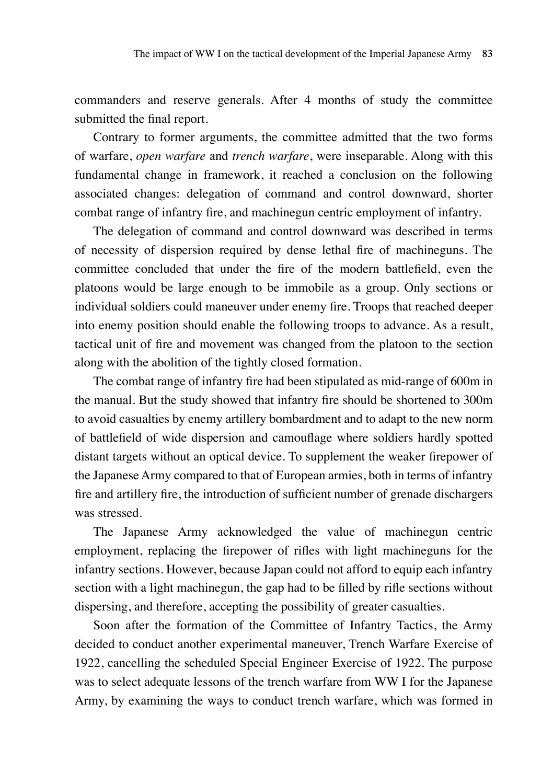commanders and reserve generals. After 4 months of study the committee submitted the final report.

Contrary to former arguments, the committee admitted that the two forms of warfare, *open warfare* and *trench warfare*, were inseparable. Along with this fundamental change in framework, it reached a conclusion on the following associated changes: delegation of command and control downward, shorter combat range of infantry fire, and machinegun centric employment of infantry.

The delegation of command and control downward was described in terms of necessity of dispersion required by dense lethal fire of machineguns. The committee concluded that under the fire of the modern battlefield, even the platoons would be large enough to be immobile as a group. Only sections or individual soldiers could maneuver under enemy fire. Troops that reached deeper into enemy position should enable the following troops to advance. As a result, tactical unit of fire and movement was changed from the platoon to the section along with the abolition of the tightly closed formation.

The combat range of infantry fire had been stipulated as mid-range of 600m in the manual. But the study showed that infantry fire should be shortened to 300m to avoid casualties by enemy artillery bombardment and to adapt to the new norm of battlefield of wide dispersion and camouflage where soldiers hardly spotted distant targets without an optical device. To supplement the weaker firepower of the Japanese Army compared to that of European armies, both in terms of infantry fire and artillery fire, the introduction of sufficient number of grenade dischargers was stressed.

The Japanese Army acknowledged the value of machinegun centric employment, replacing the firepower of rifles with light machineguns for the infantry sections. However, because Japan could not afford to equip each infantry section with a light machinegun, the gap had to be filled by rifle sections without dispersing, and therefore, accepting the possibility of greater casualties.

Soon after the formation of the Committee of Infantry Tactics, the Army decided to conduct another experimental maneuver, Trench Warfare Exercise of 1922, cancelling the scheduled Special Engineer Exercise of 1922. The purpose was to select adequate lessons of the trench warfare from WW I for the Japanese Army, by examining the ways to conduct trench warfare, which was formed in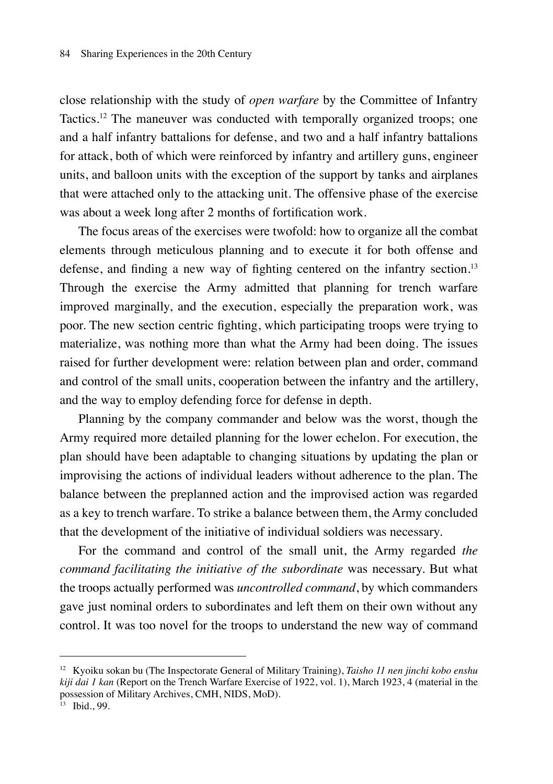close relationship with the study of *open warfare* by the Committee of Infantry Tactics.12 The maneuver was conducted with temporally organized troops; one and a half infantry battalions for defense, and two and a half infantry battalions for attack, both of which were reinforced by infantry and artillery guns, engineer units, and balloon units with the exception of the support by tanks and airplanes that were attached only to the attacking unit. The offensive phase of the exercise was about a week long after 2 months of fortification work.

The focus areas of the exercises were twofold: how to organize all the combat elements through meticulous planning and to execute it for both offense and defense, and finding a new way of fighting centered on the infantry section.<sup>13</sup> Through the exercise the Army admitted that planning for trench warfare improved marginally, and the execution, especially the preparation work, was poor. The new section centric fighting, which participating troops were trying to materialize, was nothing more than what the Army had been doing. The issues raised for further development were: relation between plan and order, command and control of the small units, cooperation between the infantry and the artillery, and the way to employ defending force for defense in depth.

Planning by the company commander and below was the worst, though the Army required more detailed planning for the lower echelon. For execution, the plan should have been adaptable to changing situations by updating the plan or improvising the actions of individual leaders without adherence to the plan. The balance between the preplanned action and the improvised action was regarded as a key to trench warfare. To strike a balance between them, the Army concluded that the development of the initiative of individual soldiers was necessary.

For the command and control of the small unit, the Army regarded *the command facilitating the initiative of the subordinate* was necessary. But what the troops actually performed was *uncontrolled command*, by which commanders gave just nominal orders to subordinates and left them on their own without any control. It was too novel for the troops to understand the new way of command

<sup>12</sup> Kyoiku sokan bu (The Inspectorate General of Military Training), *Taisho 11 nen jinchi kobo enshu kiji dai 1 kan* (Report on the Trench Warfare Exercise of 1922, vol. 1), March 1923, 4 (material in the possession of Military Archives, CMH, NIDS, MoD).

 $13$  Ibid., 99.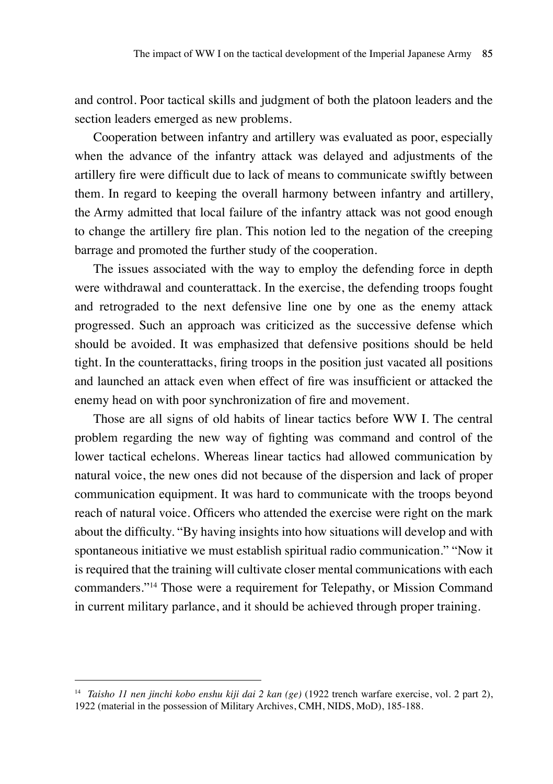and control. Poor tactical skills and judgment of both the platoon leaders and the section leaders emerged as new problems.

Cooperation between infantry and artillery was evaluated as poor, especially when the advance of the infantry attack was delayed and adjustments of the artillery fire were difficult due to lack of means to communicate swiftly between them. In regard to keeping the overall harmony between infantry and artillery, the Army admitted that local failure of the infantry attack was not good enough to change the artillery fire plan. This notion led to the negation of the creeping barrage and promoted the further study of the cooperation.

The issues associated with the way to employ the defending force in depth were withdrawal and counterattack. In the exercise, the defending troops fought and retrograded to the next defensive line one by one as the enemy attack progressed. Such an approach was criticized as the successive defense which should be avoided. It was emphasized that defensive positions should be held tight. In the counterattacks, firing troops in the position just vacated all positions and launched an attack even when effect of fire was insufficient or attacked the enemy head on with poor synchronization of fire and movement.

Those are all signs of old habits of linear tactics before WW I. The central problem regarding the new way of fighting was command and control of the lower tactical echelons. Whereas linear tactics had allowed communication by natural voice, the new ones did not because of the dispersion and lack of proper communication equipment. It was hard to communicate with the troops beyond reach of natural voice. Officers who attended the exercise were right on the mark about the difficulty. "By having insights into how situations will develop and with spontaneous initiative we must establish spiritual radio communication." "Now it is required that the training will cultivate closer mental communications with each commanders."14 Those were a requirement for Telepathy, or Mission Command in current military parlance, and it should be achieved through proper training.

<sup>14</sup> *Taisho 11 nen jinchi kobo enshu kiji dai 2 kan (ge)* (1922 trench warfare exercise, vol. 2 part 2), 1922 (material in the possession of Military Archives, CMH, NIDS, MoD), 185-188.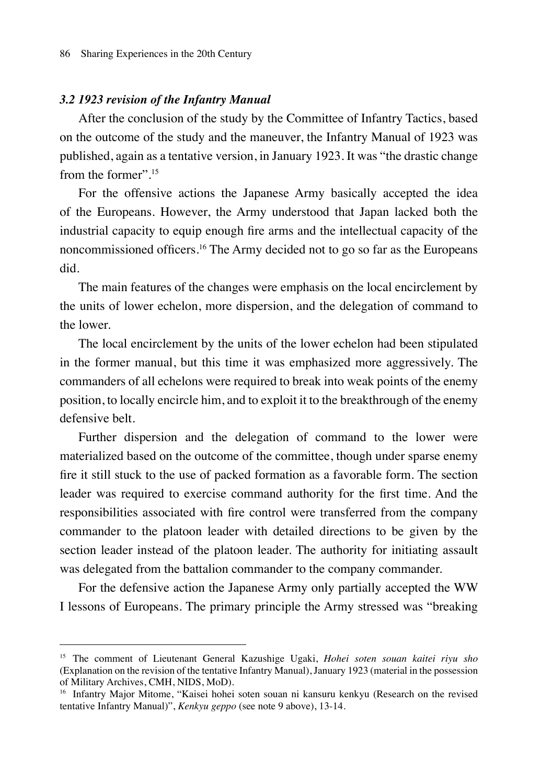### *3.2 1923 revision of the Infantry Manual*

After the conclusion of the study by the Committee of Infantry Tactics, based on the outcome of the study and the maneuver, the Infantry Manual of 1923 was published, again as a tentative version, in January 1923. It was "the drastic change from the former".<sup>15</sup>

For the offensive actions the Japanese Army basically accepted the idea of the Europeans. However, the Army understood that Japan lacked both the industrial capacity to equip enough fire arms and the intellectual capacity of the noncommissioned officers.16 The Army decided not to go so far as the Europeans did.

The main features of the changes were emphasis on the local encirclement by the units of lower echelon, more dispersion, and the delegation of command to the lower.

The local encirclement by the units of the lower echelon had been stipulated in the former manual, but this time it was emphasized more aggressively. The commanders of all echelons were required to break into weak points of the enemy position, to locally encircle him, and to exploit it to the breakthrough of the enemy defensive belt.

Further dispersion and the delegation of command to the lower were materialized based on the outcome of the committee, though under sparse enemy fire it still stuck to the use of packed formation as a favorable form. The section leader was required to exercise command authority for the first time. And the responsibilities associated with fire control were transferred from the company commander to the platoon leader with detailed directions to be given by the section leader instead of the platoon leader. The authority for initiating assault was delegated from the battalion commander to the company commander.

For the defensive action the Japanese Army only partially accepted the WW I lessons of Europeans. The primary principle the Army stressed was "breaking

<sup>15</sup> The comment of Lieutenant General Kazushige Ugaki, *Hohei soten souan kaitei riyu sho* (Explanation on the revision of the tentative Infantry Manual), January 1923 (material in the possession of Military Archives, CMH, NIDS, MoD).

<sup>&</sup>lt;sup>16</sup> Infantry Major Mitome, "Kaisei hohei soten souan ni kansuru kenkyu (Research on the revised tentative Infantry Manual)", *Kenkyu geppo* (see note 9 above), 13-14.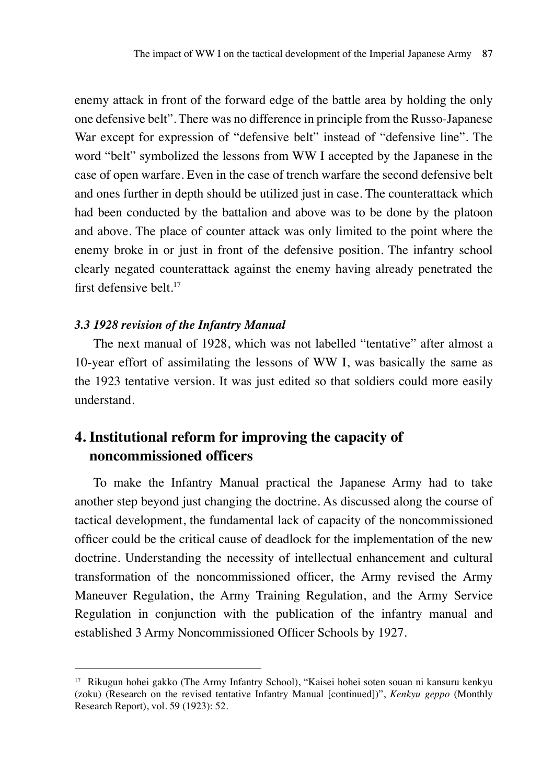enemy attack in front of the forward edge of the battle area by holding the only one defensive belt". There was no difference in principle from the Russo-Japanese War except for expression of "defensive belt" instead of "defensive line". The word "belt" symbolized the lessons from WW I accepted by the Japanese in the case of open warfare. Even in the case of trench warfare the second defensive belt and ones further in depth should be utilized just in case. The counterattack which had been conducted by the battalion and above was to be done by the platoon and above. The place of counter attack was only limited to the point where the enemy broke in or just in front of the defensive position. The infantry school clearly negated counterattack against the enemy having already penetrated the first defensive belt.<sup>17</sup>

#### *3.3 1928 revision of the Infantry Manual*

The next manual of 1928, which was not labelled "tentative" after almost a 10-year effort of assimilating the lessons of WW I, was basically the same as the 1923 tentative version. It was just edited so that soldiers could more easily understand.

# **4. Institutional reform for improving the capacity of noncommissioned officers**

To make the Infantry Manual practical the Japanese Army had to take another step beyond just changing the doctrine. As discussed along the course of tactical development, the fundamental lack of capacity of the noncommissioned officer could be the critical cause of deadlock for the implementation of the new doctrine. Understanding the necessity of intellectual enhancement and cultural transformation of the noncommissioned officer, the Army revised the Army Maneuver Regulation, the Army Training Regulation, and the Army Service Regulation in conjunction with the publication of the infantry manual and established 3 Army Noncommissioned Officer Schools by 1927.

<sup>17</sup> Rikugun hohei gakko (The Army Infantry School), "Kaisei hohei soten souan ni kansuru kenkyu (zoku) (Research on the revised tentative Infantry Manual [continued])", *Kenkyu geppo* (Monthly Research Report), vol. 59 (1923): 52.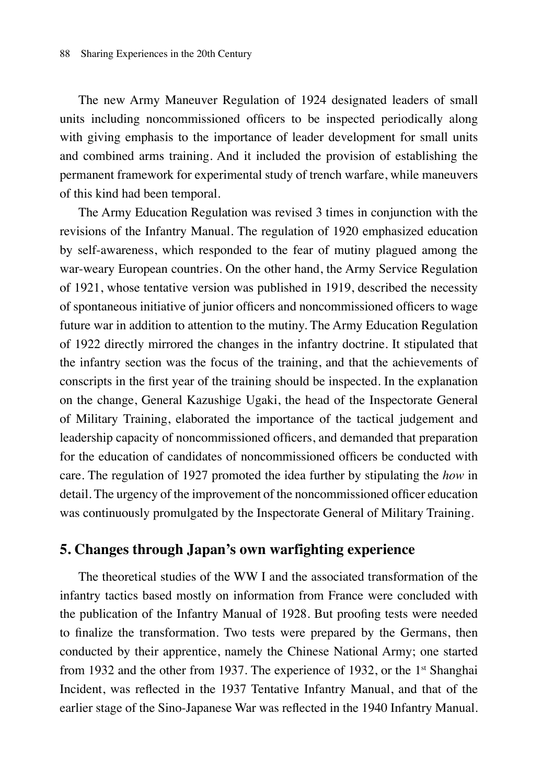The new Army Maneuver Regulation of 1924 designated leaders of small units including noncommissioned officers to be inspected periodically along with giving emphasis to the importance of leader development for small units and combined arms training. And it included the provision of establishing the permanent framework for experimental study of trench warfare, while maneuvers of this kind had been temporal.

The Army Education Regulation was revised 3 times in conjunction with the revisions of the Infantry Manual. The regulation of 1920 emphasized education by self-awareness, which responded to the fear of mutiny plagued among the war-weary European countries. On the other hand, the Army Service Regulation of 1921, whose tentative version was published in 1919, described the necessity of spontaneous initiative of junior officers and noncommissioned officers to wage future war in addition to attention to the mutiny. The Army Education Regulation of 1922 directly mirrored the changes in the infantry doctrine. It stipulated that the infantry section was the focus of the training, and that the achievements of conscripts in the first year of the training should be inspected. In the explanation on the change, General Kazushige Ugaki, the head of the Inspectorate General of Military Training, elaborated the importance of the tactical judgement and leadership capacity of noncommissioned officers, and demanded that preparation for the education of candidates of noncommissioned officers be conducted with care. The regulation of 1927 promoted the idea further by stipulating the *how* in detail. The urgency of the improvement of the noncommissioned officer education was continuously promulgated by the Inspectorate General of Military Training.

# **5. Changes through Japan's own warfighting experience**

The theoretical studies of the WW I and the associated transformation of the infantry tactics based mostly on information from France were concluded with the publication of the Infantry Manual of 1928. But proofing tests were needed to finalize the transformation. Two tests were prepared by the Germans, then conducted by their apprentice, namely the Chinese National Army; one started from 1932 and the other from 1937. The experience of 1932, or the 1<sup>st</sup> Shanghai Incident, was reflected in the 1937 Tentative Infantry Manual, and that of the earlier stage of the Sino-Japanese War was reflected in the 1940 Infantry Manual.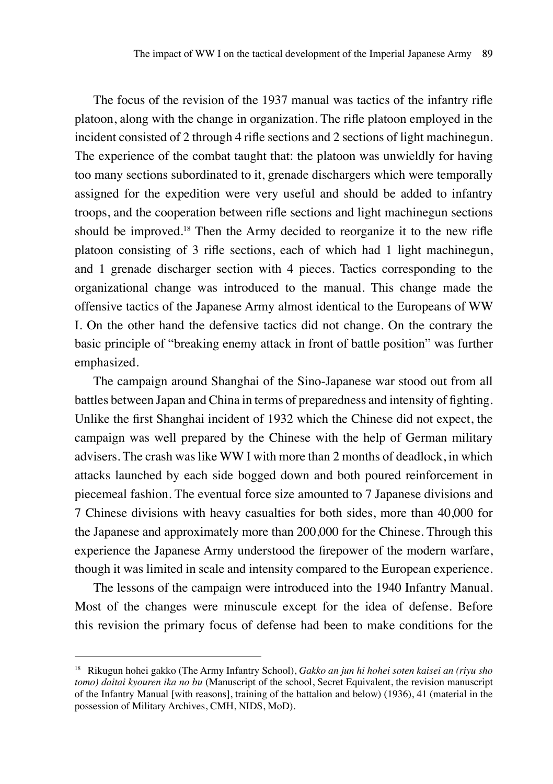The focus of the revision of the 1937 manual was tactics of the infantry rifle platoon, along with the change in organization. The rifle platoon employed in the incident consisted of 2 through 4 rifle sections and 2 sections of light machinegun. The experience of the combat taught that: the platoon was unwieldly for having too many sections subordinated to it, grenade dischargers which were temporally assigned for the expedition were very useful and should be added to infantry troops, and the cooperation between rifle sections and light machinegun sections should be improved.18 Then the Army decided to reorganize it to the new rifle platoon consisting of 3 rifle sections, each of which had 1 light machinegun, and 1 grenade discharger section with 4 pieces. Tactics corresponding to the organizational change was introduced to the manual. This change made the offensive tactics of the Japanese Army almost identical to the Europeans of WW I. On the other hand the defensive tactics did not change. On the contrary the basic principle of "breaking enemy attack in front of battle position" was further emphasized.

The campaign around Shanghai of the Sino-Japanese war stood out from all battles between Japan and China in terms of preparedness and intensity of fighting. Unlike the first Shanghai incident of 1932 which the Chinese did not expect, the campaign was well prepared by the Chinese with the help of German military advisers. The crash was like WW I with more than 2 months of deadlock, in which attacks launched by each side bogged down and both poured reinforcement in piecemeal fashion. The eventual force size amounted to 7 Japanese divisions and 7 Chinese divisions with heavy casualties for both sides, more than 40,000 for the Japanese and approximately more than 200,000 for the Chinese. Through this experience the Japanese Army understood the firepower of the modern warfare, though it was limited in scale and intensity compared to the European experience.

The lessons of the campaign were introduced into the 1940 Infantry Manual. Most of the changes were minuscule except for the idea of defense. Before this revision the primary focus of defense had been to make conditions for the

<sup>18</sup> Rikugun hohei gakko (The Army Infantry School), *Gakko an jun hi hohei soten kaisei an (riyu sho tomo) daitai kyouren ika no bu* (Manuscript of the school, Secret Equivalent, the revision manuscript of the Infantry Manual [with reasons], training of the battalion and below) (1936), 41 (material in the possession of Military Archives, CMH, NIDS, MoD).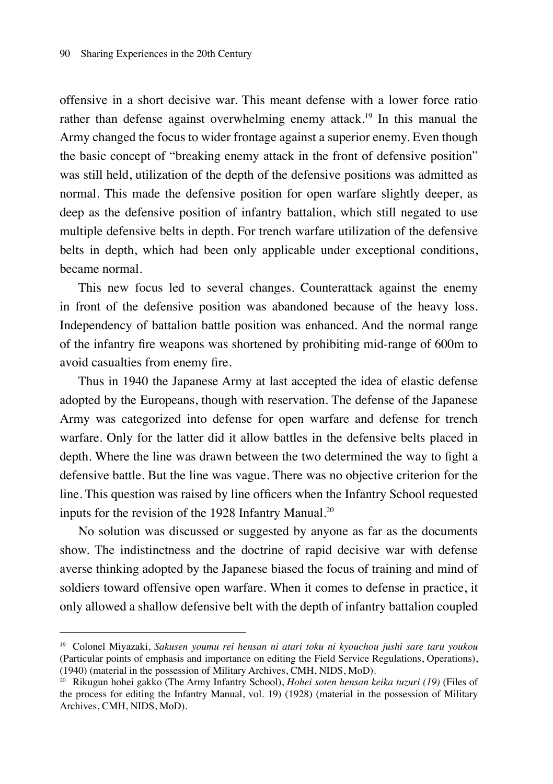offensive in a short decisive war. This meant defense with a lower force ratio rather than defense against overwhelming enemy attack.<sup>19</sup> In this manual the Army changed the focus to wider frontage against a superior enemy. Even though the basic concept of "breaking enemy attack in the front of defensive position" was still held, utilization of the depth of the defensive positions was admitted as normal. This made the defensive position for open warfare slightly deeper, as deep as the defensive position of infantry battalion, which still negated to use multiple defensive belts in depth. For trench warfare utilization of the defensive belts in depth, which had been only applicable under exceptional conditions, became normal.

This new focus led to several changes. Counterattack against the enemy in front of the defensive position was abandoned because of the heavy loss. Independency of battalion battle position was enhanced. And the normal range of the infantry fire weapons was shortened by prohibiting mid-range of 600m to avoid casualties from enemy fire.

Thus in 1940 the Japanese Army at last accepted the idea of elastic defense adopted by the Europeans, though with reservation. The defense of the Japanese Army was categorized into defense for open warfare and defense for trench warfare. Only for the latter did it allow battles in the defensive belts placed in depth. Where the line was drawn between the two determined the way to fight a defensive battle. But the line was vague. There was no objective criterion for the line. This question was raised by line officers when the Infantry School requested inputs for the revision of the 1928 Infantry Manual.<sup>20</sup>

No solution was discussed or suggested by anyone as far as the documents show. The indistinctness and the doctrine of rapid decisive war with defense averse thinking adopted by the Japanese biased the focus of training and mind of soldiers toward offensive open warfare. When it comes to defense in practice, it only allowed a shallow defensive belt with the depth of infantry battalion coupled

<sup>19</sup> Colonel Miyazaki, *Sakusen youmu rei hensan ni atari toku ni kyouchou jushi sare taru youkou* (Particular points of emphasis and importance on editing the Field Service Regulations, Operations), (1940) (material in the possession of Military Archives, CMH, NIDS, MoD).

<sup>20</sup> Rikugun hohei gakko (The Army Infantry School), *Hohei soten hensan keika tuzuri (19)* (Files of the process for editing the Infantry Manual, vol. 19) (1928) (material in the possession of Military Archives, CMH, NIDS, MoD).